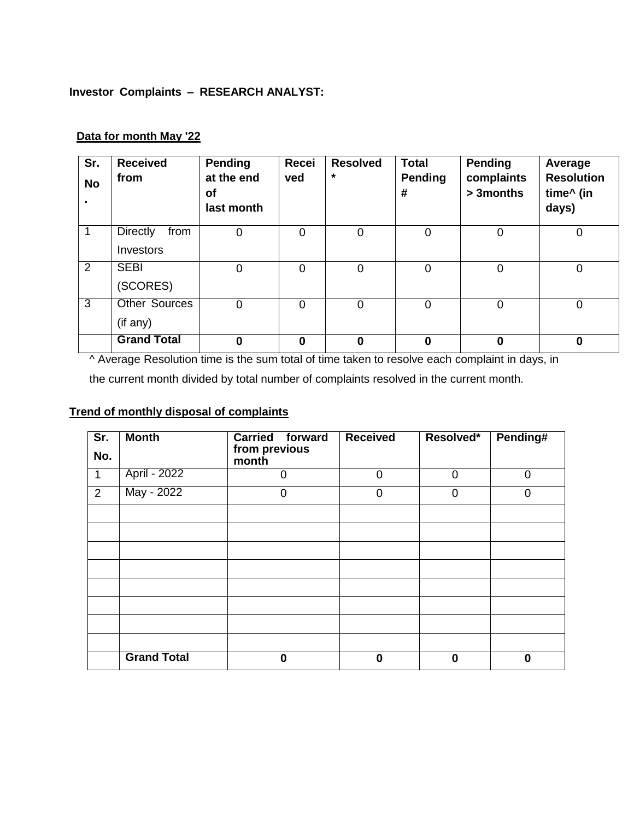## **Investor Complaints – RESEARCH ANALYST:**

| Sr.<br><b>No</b> | <b>Received</b><br>from | <b>Pending</b><br>at the end<br>of<br>last month | <b>Recei</b><br>ved | <b>Resolved</b><br>$\star$ | <b>Total</b><br>Pending<br># | <b>Pending</b><br>complaints<br>> 3months | Average<br><b>Resolution</b><br>time^ (in<br>days) |
|------------------|-------------------------|--------------------------------------------------|---------------------|----------------------------|------------------------------|-------------------------------------------|----------------------------------------------------|
|                  | <b>Directly</b><br>from | $\mathbf 0$                                      | 0                   | 0                          | 0                            | $\mathbf 0$                               | 0                                                  |
|                  | Investors               |                                                  |                     |                            |                              |                                           |                                                    |
| 2                | <b>SEBI</b>             | $\mathbf 0$                                      | $\overline{0}$      | 0                          | $\mathbf 0$                  | $\mathbf 0$                               | $\overline{0}$                                     |
|                  | (SCORES)                |                                                  |                     |                            |                              |                                           |                                                    |
| $\overline{3}$   | <b>Other Sources</b>    | $\overline{0}$                                   | $\overline{0}$      | $\overline{0}$             | $\overline{0}$               | $\mathbf 0$                               | 0                                                  |
|                  | (if any)                |                                                  |                     |                            |                              |                                           |                                                    |
|                  | <b>Grand Total</b>      | $\bf{0}$                                         | $\Omega$            | 0                          | $\bf{0}$                     | $\bf{0}$                                  | $\bf{0}$                                           |

## **Data for month May '22**

^ Average Resolution time is the sum total of time taken to resolve each complaint in days, in

the current month divided by total number of complaints resolved in the current month.

## **Trend of monthly disposal of complaints**

| Sr.          | <b>Month</b>       | <b>Carried forward</b> | <b>Received</b> | Resolved*      | Pending# |
|--------------|--------------------|------------------------|-----------------|----------------|----------|
| No.          |                    | from previous<br>month |                 |                |          |
| $\mathbf{1}$ | April - 2022       | $\overline{0}$         | $\overline{0}$  | $\overline{0}$ | $\Omega$ |
| 2            | May - 2022         | 0                      | 0               | 0              | O        |
|              |                    |                        |                 |                |          |
|              |                    |                        |                 |                |          |
|              |                    |                        |                 |                |          |
|              |                    |                        |                 |                |          |
|              |                    |                        |                 |                |          |
|              |                    |                        |                 |                |          |
|              |                    |                        |                 |                |          |
|              |                    |                        |                 |                |          |
|              | <b>Grand Total</b> | 0                      | $\bf{0}$        | 0              | 0        |